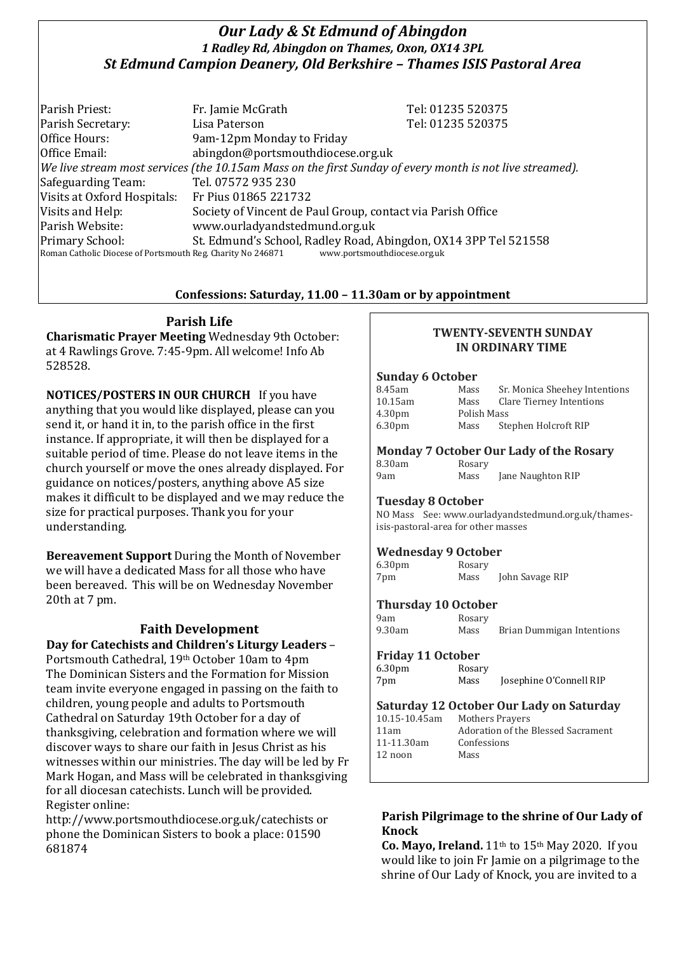# *Our Lady & St Edmund of Abingdon 1 Radley Rd, Abingdon on Thames, Oxon, OX14 3PL St Edmund Campion Deanery, Old Berkshire – Thames ISIS Pastoral Area*

Parish Priest: Fr. Jamie McGrath Tel: 01235 520375 Parish Secretary: Tel: 01235 520375 Office Hours: 9am-12pm Monday to Friday Office Email: abingdon@portsmouthdiocese.org.uk *We live stream most services (the 10.15am Mass on the first Sunday of every month is not live streamed).* Safeguarding Team: Tel. 07572 935 230 Visits at Oxford Hospitals: Fr Pius 01865 221732 Visits and Help: Society of Vincent de Paul Group, contact via Parish Office Parish Website: www.ourladyandstedmund.org.uk Primary School: St. Edmund's School, Radley Road, Abingdon, OX14 3PP Tel 521558 Roman Catholic Diocese of Portsmouth Reg. Charity No 246871 www.portsmouthdiocese.org.uk

## **Confessions: Saturday, 11.00 – 11.30am or by appointment**

# **Parish Life**

**Charismatic Prayer Meeting** Wednesday 9th October: at 4 Rawlings Grove. 7:45-9pm. All welcome! Info Ab 528528.

**NOTICES/POSTERS IN OUR CHURCH** If you have anything that you would like displayed, please can you send it, or hand it in, to the parish office in the first instance. If appropriate, it will then be displayed for a suitable period of time. Please do not leave items in the church yourself or move the ones already displayed. For guidance on notices/posters, anything above A5 size makes it difficult to be displayed and we may reduce the size for practical purposes. Thank you for your understanding.

**Bereavement Support** During the Month of November we will have a dedicated Mass for all those who have been bereaved. This will be on Wednesday November 20th at 7 pm.

# **Faith Development**

**Day for Catechists and Children's Liturgy Leaders** – Portsmouth Cathedral, 19th October 10am to 4pm The Dominican Sisters and the Formation for Mission team invite everyone engaged in passing on the faith to children, young people and adults to Portsmouth Cathedral on Saturday 19th October for a day of thanksgiving, celebration and formation where we will discover ways to share our faith in Jesus Christ as his witnesses within our ministries. The day will be led by Fr Mark Hogan, and Mass will be celebrated in thanksgiving for all diocesan catechists. Lunch will be provided. Register online:

http://www.portsmouthdiocese.org.uk/catechists or phone the Dominican Sisters to book a place: 01590 681874

#### **TWENTY-SEVENTH SUNDAY IN ORDINARY TIME**

#### **Sunday 6 October**

| 8.45am             | Mass        | Sr. Monica Sheehey Intentions |  |
|--------------------|-------------|-------------------------------|--|
| 10.15am            | Mass        | Clare Tierney Intentions      |  |
| 4.30 <sub>pm</sub> | Polish Mass |                               |  |
| 6.30 <sub>pm</sub> | Mass        | Stephen Holcroft RIP          |  |

# **Monday 7 October Our Lady of the Rosary**

| 8.30am | Rosary |                   |
|--------|--------|-------------------|
| 9am    | Mass   | Jane Naughton RIP |

#### **Tuesday 8 October**

NO Mass See: www.ourladyandstedmund.org.uk/thamesisis-pastoral-area for other masses

#### **Wednesday 9 October**

| 6.30 <sub>pm</sub> | Rosary |                 |
|--------------------|--------|-----------------|
| 7pm                | Mass   | John Savage RIP |

#### **Thursday 10 October**

9am Rosary

9.30am Mass Brian Dummigan Intentions

#### **Friday 11 October**

6.30pm Rosary

7pm Mass Josephine O'Connell RIP

# **Saturday 12 October Our Lady on Saturday** 10.15-10.45am Mothers Prayers

12 noon Mass

11am Adoration of the Blessed Sacrament 11-11.30am Confessions

### **Parish Pilgrimage to the shrine of Our Lady of Knock**

**Co. Mayo, Ireland.** 11th to 15th May 2020. If you would like to join Fr Jamie on a pilgrimage to the shrine of Our Lady of Knock, you are invited to a